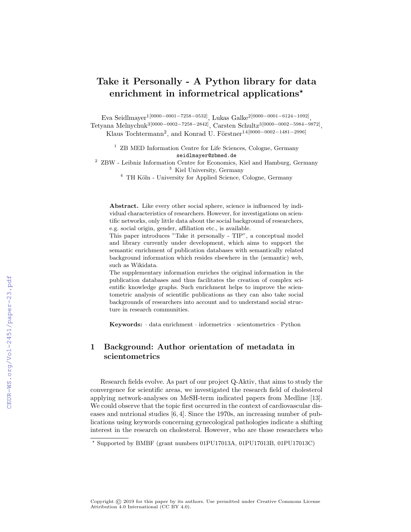# Take it Personally - A Python library for data enrichment in informetrical applications<sup>\*</sup>

Eva Seidlmayer<sup>1[0000–0001–7258–0532]</sup>, Lukas Galke<sup>2[0000–0001–6124–1092]</sup>, Tetyana Melnychuk<sup>3[0000–0002–7258–2842]</sup>, Carsten Schultz<sup>3[0000–0002–5984–9872]</sup>, Klaus Tochtermann<sup>2</sup>, and Konrad U. Förstner<sup>14[0000–0002–1481–2996]</sup>

> <sup>1</sup> ZB MED Information Centre for Life Sciences, Cologne, Germany seidlmayer@zbmed.de

 $^2\,$  ZBW - Leibniz Information Centre for Economics, Kiel and Hamburg, Germany <sup>3</sup> Kiel University, Germany

 $4$  TH Köln - University for Applied Science, Cologne, Germany

Abstract. Like every other social sphere, science is influenced by individual characteristics of researchers. However, for investigations on scientific networks, only little data about the social background of researchers, e.g. social origin, gender, affiliation etc., is available.

This paper introduces "Take it personally - TIP", a conceptual model and library currently under development, which aims to support the semantic enrichment of publication databases with semantically related background information which resides elsewhere in the (semantic) web, such as Wikidata.

The supplementary information enriches the original information in the publication databases and thus facilitates the creation of complex scientific knowledge graphs. Such enrichment helps to improve the scientometric analysis of scientific publications as they can also take social backgrounds of researchers into account and to understand social structure in research communities.

Keywords: · data enrichment · informetrics · scientometrics · Python

### 1 Background: Author orientation of metadata in scientometrics

Research fields evolve. As part of our project Q-Aktiv, that aims to study the convergence for scientific areas, we investigated the research field of cholesterol applying network-analyses on MeSH-term indicated papers from Medline [13]. We could observe that the topic first occurred in the context of cardiovascular diseases and nutrional studies [6, 4]. Since the 1970s, an increasing number of publications using keywords concerning gynecological pathologies indicate a shifting interest in the research on cholesterol. However, who are those researchers who

Copyright © 2019 for this paper by its authors. Use permitted under Creative Commons License Attribution 4.0 International (CC BY 4.0).

<sup>?</sup> Supported by BMBF (grant numbers 01PU17013A, 01PU17013B, 01PU17013C)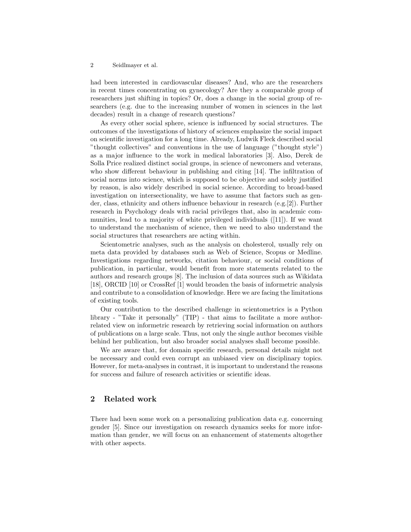#### 2 Seidlmayer et al.

had been interested in cardiovascular diseases? And, who are the researchers in recent times concentrating on gynecology? Are they a comparable group of researchers just shifting in topics? Or, does a change in the social group of researchers (e.g. due to the increasing number of women in sciences in the last decades) result in a change of research questions?

As every other social sphere, science is influenced by social structures. The outcomes of the investigations of history of sciences emphasize the social impact on scientific investigation for a long time. Already, Ludwik Fleck described social "thought collectives" and conventions in the use of language ("thought style") as a major influence to the work in medical laboratories [3]. Also, Derek de Solla Price realized distinct social groups, in science of newcomers and veterans, who show different behaviour in publishing and citing [14]. The infiltration of social norms into science, which is supposed to be objective and solely justified by reason, is also widely described in social science. According to broad-based investigation on intersectionality, we have to assume that factors such as gender, class, ethnicity and others influence behaviour in research (e.g.[2]). Further research in Psychology deals with racial privileges that, also in academic communities, lead to a majority of white privileged individuals ([11]). If we want to understand the mechanism of science, then we need to also understand the social structures that researchers are acting within.

Scientometric analyses, such as the analysis on cholesterol, usually rely on meta data provided by databases such as Web of Science, Scopus or Medline. Investigations regarding networks, citation behaviour, or social conditions of publication, in particular, would benefit from more statements related to the authors and research groups [8]. The inclusion of data sources such as Wikidata [18], ORCID [10] or CrossRef [1] would broaden the basis of informetric analysis and contribute to a consolidation of knowledge. Here we are facing the limitations of existing tools.

Our contribution to the described challenge in scientometrics is a Python library - "Take it personally" (TIP) - that aims to facilitate a more authorrelated view on informetric research by retrieving social information on authors of publications on a large scale. Thus, not only the single author becomes visible behind her publication, but also broader social analyses shall become possible.

We are aware that, for domain specific research, personal details might not be necessary and could even corrupt an unbiased view on disciplinary topics. However, for meta-analyses in contrast, it is important to understand the reasons for success and failure of research activities or scientific ideas.

## 2 Related work

There had been some work on a personalizing publication data e.g. concerning gender [5]. Since our investigation on research dynamics seeks for more information than gender, we will focus on an enhancement of statements altogether with other aspects.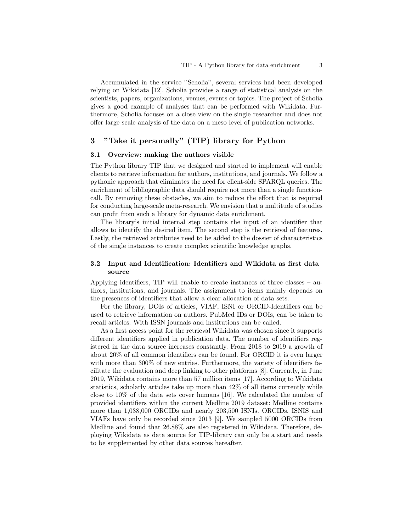Accumulated in the service "Scholia", several services had been developed relying on Wikidata [12]. Scholia provides a range of statistical analysis on the scientists, papers, organizations, venues, events or topics. The project of Scholia gives a good example of analyses that can be performed with Wikidata. Furthermore, Scholia focuses on a close view on the single researcher and does not offer large scale analysis of the data on a meso level of publication networks.

### 3 "Take it personally" (TIP) library for Python

#### 3.1 Overview: making the authors visible

The Python library TIP that we designed and started to implement will enable clients to retrieve information for authors, institutions, and journals. We follow a pythonic approach that eliminates the need for client-side SPARQL queries. The enrichment of bibliographic data should require not more than a single functioncall. By removing these obstacles, we aim to reduce the effort that is required for conducting large-scale meta-research. We envision that a multitude of studies can profit from such a library for dynamic data enrichment.

The library's initial internal step contains the input of an identifier that allows to identify the desired item. The second step is the retrieval of features. Lastly, the retrieved attributes need to be added to the dossier of characteristics of the single instances to create complex scientific knowledge graphs.

#### 3.2 Input and Identification: Identifiers and Wikidata as first data source

Applying identifiers, TIP will enable to create instances of three classes – authors, institutions, and journals. The assignment to items mainly depends on the presences of identifiers that allow a clear allocation of data sets.

For the library, DOIs of articles, VIAF, ISNI or ORCID-Identifiers can be used to retrieve information on authors. PubMed IDs or DOIs, can be taken to recall articles. With ISSN journals and institutions can be called.

As a first access point for the retrieval Wikidata was chosen since it supports different identifiers applied in publication data. The number of identifiers registered in the data source increases constantly. From 2018 to 2019 a growth of about 20% of all common identifiers can be found. For ORCID it is even larger with more than 300% of new entries. Furthermore, the variety of identifiers facilitate the evaluation and deep linking to other platforms [8]. Currently, in June 2019, Wikidata contains more than 57 million items [17]. According to Wikidata statistics, scholarly articles take up more than 42% of all items currently while close to 10% of the data sets cover humans [16]. We calculated the number of provided identifiers within the current Medline 2019 dataset: Medline contains more than 1,038,000 ORCIDs and nearly 203,500 ISNIs. ORCIDs, ISNIS and VIAFs have only be recorded since 2013 [9]. We sampled 5000 ORCIDs from Medline and found that 26.88% are also registered in Wikidata. Therefore, deploying Wikidata as data source for TIP-library can only be a start and needs to be supplemented by other data sources hereafter.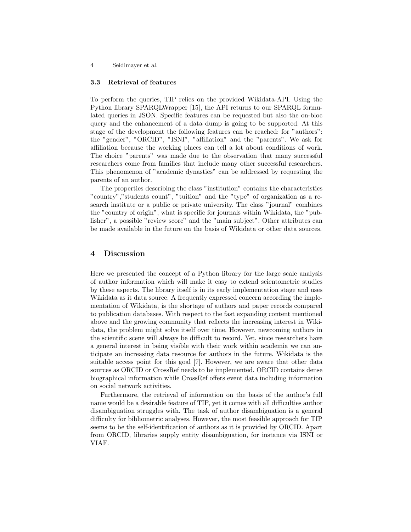4 Seidlmayer et al.

#### 3.3 Retrieval of features

To perform the queries, TIP relies on the provided Wikidata-API. Using the Python library SPARQLWrapper [15], the API returns to our SPARQL formulated queries in JSON. Specific features can be requested but also the on-bloc query and the enhancement of a data dump is going to be supported. At this stage of the development the following features can be reached: for "authors": the "gender", "ORCID", "ISNI", "affiliation" and the "parents". We ask for affiliation because the working places can tell a lot about conditions of work. The choice "parents" was made due to the observation that many successful researchers come from families that include many other successful researchers. This phenomenon of "academic dynasties" can be addressed by requesting the parents of an author.

The properties describing the class "institution" contains the characteristics "country","students count", "tuition" and the "type" of organization as a research institute or a public or private university. The class "journal" combines the "country of origin", what is specific for journals within Wikidata, the "publisher", a possible "review score" and the "main subject". Other attributes can be made available in the future on the basis of Wikidata or other data sources.

#### 4 Discussion

Here we presented the concept of a Python library for the large scale analysis of author information which will make it easy to extend scientometric studies by these aspects. The library itself is in its early implementation stage and uses Wikidata as it data source. A frequently expressed concern according the implementation of Wikidata, is the shortage of authors and paper records compared to publication databases. With respect to the fast expanding content mentioned above and the growing community that reflects the increasing interest in Wikidata, the problem might solve itself over time. However, newcoming authors in the scientific scene will always be difficult to record. Yet, since researchers have a general interest in being visible with their work within academia we can anticipate an increasing data resource for authors in the future. Wikidata is the suitable access point for this goal [7]. However, we are aware that other data sources as ORCID or CrossRef needs to be implemented. ORCID contains dense biographical information while CrossRef offers event data including information on social network activities.

Furthermore, the retrieval of information on the basis of the author's full name would be a desirable feature of TIP, yet it comes with all difficulties author disambiguation struggles with. The task of author disambiguation is a general difficulty for bibliometric analyses. However, the most feasible approach for TIP seems to be the self-identification of authors as it is provided by ORCID. Apart from ORCID, libraries supply entity disambiguation, for instance via ISNI or VIAF.